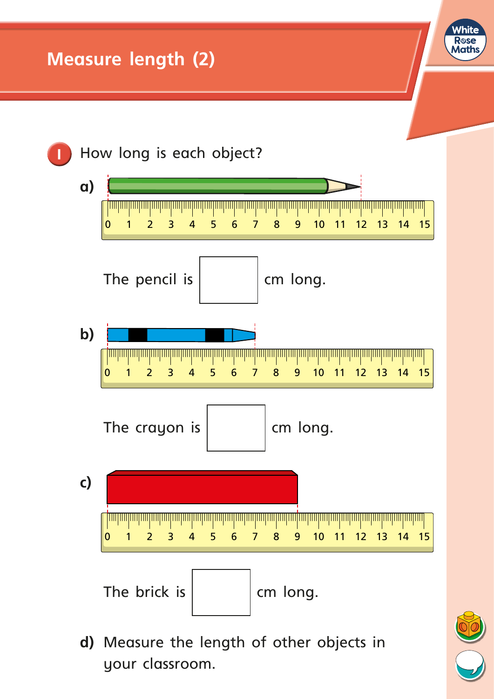

**d)** Measure the length of other objects in your classroom.

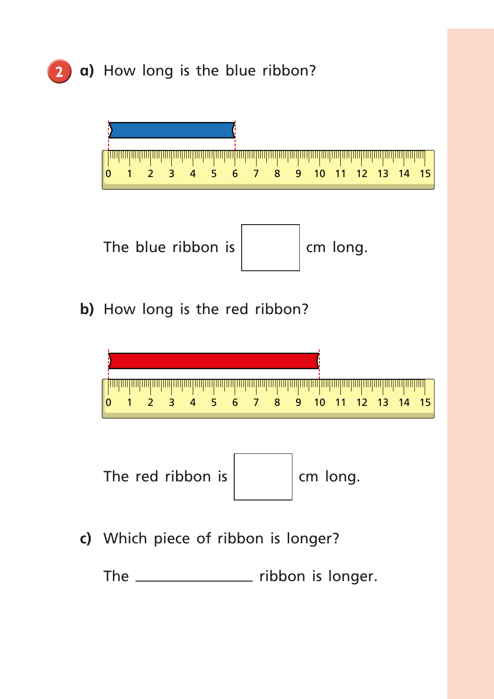

The \_\_\_\_\_\_\_\_\_\_\_\_\_\_\_\_ ribbon is longer.